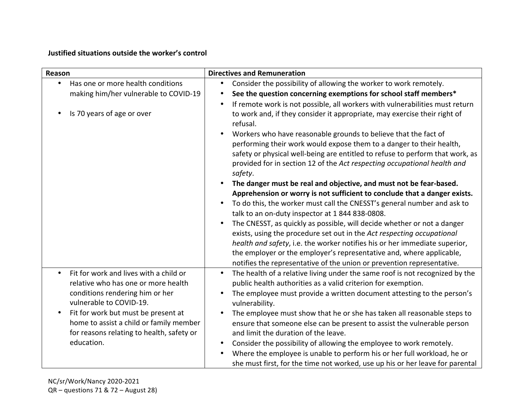## **Justified situations outside the worker's control**

| Reason                                                     | <b>Directives and Remuneration</b>                                                                                                                                                 |
|------------------------------------------------------------|------------------------------------------------------------------------------------------------------------------------------------------------------------------------------------|
| Has one or more health conditions                          | Consider the possibility of allowing the worker to work remotely.<br>$\bullet$                                                                                                     |
| making him/her vulnerable to COVID-19                      | See the question concerning exemptions for school staff members*<br>$\bullet$                                                                                                      |
| Is 70 years of age or over                                 | If remote work is not possible, all workers with vulnerabilities must return<br>$\bullet$<br>to work and, if they consider it appropriate, may exercise their right of<br>refusal. |
|                                                            | Workers who have reasonable grounds to believe that the fact of<br>$\bullet$                                                                                                       |
|                                                            | performing their work would expose them to a danger to their health,                                                                                                               |
|                                                            | safety or physical well-being are entitled to refuse to perform that work, as<br>provided for in section 12 of the Act respecting occupational health and<br>safety.               |
|                                                            | The danger must be real and objective, and must not be fear-based.<br>$\bullet$                                                                                                    |
|                                                            | Apprehension or worry is not sufficient to conclude that a danger exists.                                                                                                          |
|                                                            | To do this, the worker must call the CNESST's general number and ask to<br>$\bullet$                                                                                               |
|                                                            | talk to an on-duty inspector at 1 844 838-0808.                                                                                                                                    |
|                                                            | The CNESST, as quickly as possible, will decide whether or not a danger<br>$\bullet$                                                                                               |
|                                                            | exists, using the procedure set out in the Act respecting occupational                                                                                                             |
|                                                            | health and safety, i.e. the worker notifies his or her immediate superior,                                                                                                         |
|                                                            | the employer or the employer's representative and, where applicable,                                                                                                               |
| Fit for work and lives with a child or                     | notifies the representative of the union or prevention representative.                                                                                                             |
| relative who has one or more health                        | The health of a relative living under the same roof is not recognized by the<br>$\bullet$<br>public health authorities as a valid criterion for exemption.                         |
| conditions rendering him or her<br>vulnerable to COVID-19. | The employee must provide a written document attesting to the person's<br>$\bullet$<br>vulnerability.                                                                              |
| Fit for work but must be present at                        | The employee must show that he or she has taken all reasonable steps to<br>$\bullet$                                                                                               |
| home to assist a child or family member                    | ensure that someone else can be present to assist the vulnerable person                                                                                                            |
| for reasons relating to health, safety or                  | and limit the duration of the leave.                                                                                                                                               |
| education.                                                 | Consider the possibility of allowing the employee to work remotely.<br>$\bullet$                                                                                                   |
|                                                            | Where the employee is unable to perform his or her full workload, he or<br>$\bullet$                                                                                               |
|                                                            | she must first, for the time not worked, use up his or her leave for parental                                                                                                      |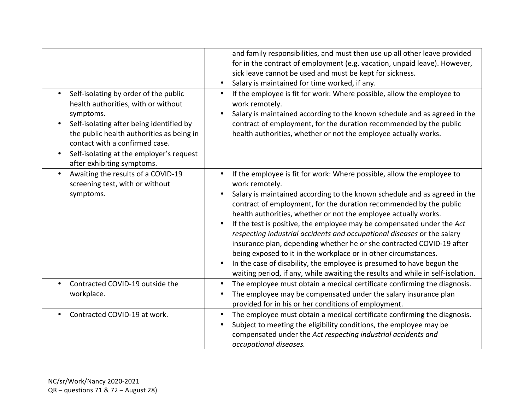|                                                                                                                                                                                                                                                                                                             | and family responsibilities, and must then use up all other leave provided<br>for in the contract of employment (e.g. vacation, unpaid leave). However,<br>sick leave cannot be used and must be kept for sickness.<br>Salary is maintained for time worked, if any.<br>$\bullet$                                                                                                                                                                                                                                                                                                                                                                                                                                                                                                        |
|-------------------------------------------------------------------------------------------------------------------------------------------------------------------------------------------------------------------------------------------------------------------------------------------------------------|------------------------------------------------------------------------------------------------------------------------------------------------------------------------------------------------------------------------------------------------------------------------------------------------------------------------------------------------------------------------------------------------------------------------------------------------------------------------------------------------------------------------------------------------------------------------------------------------------------------------------------------------------------------------------------------------------------------------------------------------------------------------------------------|
| Self-isolating by order of the public<br>$\bullet$<br>health authorities, with or without<br>symptoms.<br>Self-isolating after being identified by<br>the public health authorities as being in<br>contact with a confirmed case.<br>Self-isolating at the employer's request<br>after exhibiting symptoms. | If the employee is fit for work: Where possible, allow the employee to<br>$\bullet$<br>work remotely.<br>Salary is maintained according to the known schedule and as agreed in the<br>$\bullet$<br>contract of employment, for the duration recommended by the public<br>health authorities, whether or not the employee actually works.                                                                                                                                                                                                                                                                                                                                                                                                                                                 |
| Awaiting the results of a COVID-19<br>screening test, with or without<br>symptoms.                                                                                                                                                                                                                          | If the employee is fit for work: Where possible, allow the employee to<br>work remotely.<br>Salary is maintained according to the known schedule and as agreed in the<br>contract of employment, for the duration recommended by the public<br>health authorities, whether or not the employee actually works.<br>If the test is positive, the employee may be compensated under the Act<br>$\bullet$<br>respecting industrial accidents and occupational diseases or the salary<br>insurance plan, depending whether he or she contracted COVID-19 after<br>being exposed to it in the workplace or in other circumstances.<br>In the case of disability, the employee is presumed to have begun the<br>waiting period, if any, while awaiting the results and while in self-isolation. |
| Contracted COVID-19 outside the<br>workplace.                                                                                                                                                                                                                                                               | The employee must obtain a medical certificate confirming the diagnosis.<br>$\bullet$<br>The employee may be compensated under the salary insurance plan<br>provided for in his or her conditions of employment.                                                                                                                                                                                                                                                                                                                                                                                                                                                                                                                                                                         |
| Contracted COVID-19 at work.                                                                                                                                                                                                                                                                                | The employee must obtain a medical certificate confirming the diagnosis.<br>$\bullet$<br>Subject to meeting the eligibility conditions, the employee may be<br>$\bullet$<br>compensated under the Act respecting industrial accidents and<br>occupational diseases.                                                                                                                                                                                                                                                                                                                                                                                                                                                                                                                      |